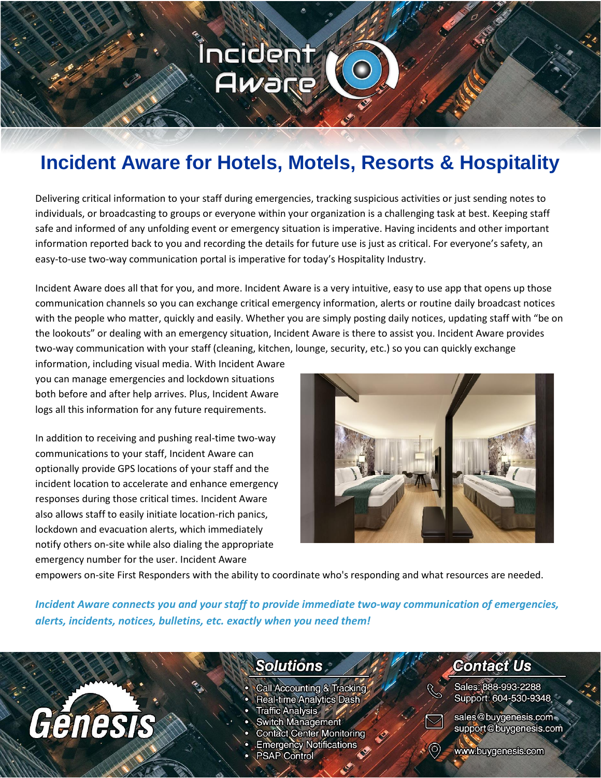### Íncident Aware

### **Incident Aware for Hotels, Motels, Resorts & Hospitality**

Delivering critical information to your staff during emergencies, tracking suspicious activities or just sending notes to individuals, or broadcasting to groups or everyone within your organization is a challenging task at best. Keeping staff safe and informed of any unfolding event or emergency situation is imperative. Having incidents and other important information reported back to you and recording the details for future use is just as critical. For everyone's safety, an easy-to-use two-way communication portal is imperative for today's Hospitality Industry.

Incident Aware does all that for you, and more. Incident Aware is a very intuitive, easy to use app that opens up those communication channels so you can exchange critical emergency information, alerts or routine daily broadcast notices with the people who matter, quickly and easily. Whether you are simply posting daily notices, updating staff with "be on the lookouts" or dealing with an emergency situation, Incident Aware is there to assist you. Incident Aware provides two-way communication with your staff (cleaning, kitchen, lounge, security, etc.) so you can quickly exchange

information, including visual media. With Incident Aware you can manage emergencies and lockdown situations both before and after help arrives. Plus, Incident Aware logs all this information for any future requirements.

In addition to receiving and pushing real-time two-way communications to your staff, Incident Aware can optionally provide GPS locations of your staff and the incident location to accelerate and enhance emergency responses during those critical times. Incident Aware also allows staff to easily initiate location-rich panics, lockdown and evacuation alerts, which immediately notify others on-site while also dialing the appropriate emergency number for the user. Incident Aware

Génesis



empowers on-site First Responders with the ability to coordinate who's responding and what resources are needed.

*Incident Aware connects you and your staff to provide immediate two-way communication of emergencies, alerts, incidents, notices, bulletins, etc. exactly when you need them!*

### **Solutions**

- Call Accounting & Tracking
- **Real-time Analytics Dash**
- Traffic Analysis \*
- Switch Management
- **Contact Center Monitoring**
- **Emergency Notifications**
- **PSAP Control**

### **Contact Us**

Sales: 888-993-2288 Support: 604-530-9348



sales@buygenesis.com support@buygenesis.com